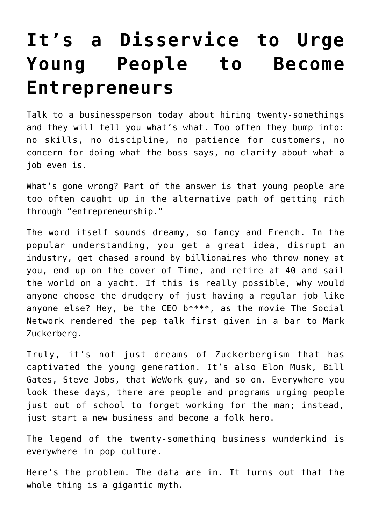## **[It's a Disservice to Urge](https://intellectualtakeout.org/2019/11/its-a-disservice-to-urge-young-people-to-become-entrepreneurs/) [Young People to Become](https://intellectualtakeout.org/2019/11/its-a-disservice-to-urge-young-people-to-become-entrepreneurs/) [Entrepreneurs](https://intellectualtakeout.org/2019/11/its-a-disservice-to-urge-young-people-to-become-entrepreneurs/)**

Talk to a businessperson today about hiring twenty-somethings and they will tell you what's what. Too often they bump into: no skills, no discipline, no patience for customers, no concern for doing what the boss says, no clarity about what a job even is.

What's gone wrong? Part of the answer is that young people are too often caught up in the alternative path of getting rich through "entrepreneurship."

The word itself sounds dreamy, so fancy and French. In the popular understanding, you get a great idea, disrupt an industry, get chased around by billionaires who throw money at you, end up on the cover of Time, and retire at 40 and sail the world on a yacht. If this is really possible, why would anyone choose the drudgery of just having a regular job like anyone else? Hey, be the CEO b\*\*\*\*, as the movie The Social Network rendered the pep talk first given in a bar to Mark Zuckerberg.

Truly, it's not just dreams of Zuckerbergism that has captivated the young generation. It's also Elon Musk, Bill Gates, Steve Jobs, that WeWork guy, and so on. Everywhere you look these days, there are people and programs urging people just out of school to forget working for the man; instead, just start a new business and become a folk hero.

The legend of the twenty-something business wunderkind is everywhere in pop culture.

Here's the problem. The data are in. It turns out that the whole thing is a gigantic myth.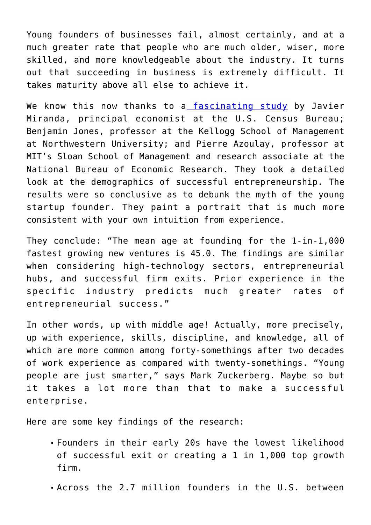Young founders of businesses fail, almost certainly, and at a much greater rate that people who are much older, wiser, more skilled, and more knowledgeable about the industry. It turns out that succeeding in business is extremely difficult. It takes maturity above all else to achieve it.

We know this now thanks to a [fascinating study](https://www.kellogg.northwestern.edu/faculty/jones-ben/htm/Age%20and%20High%20Growth%20Entrepreneurship.pdf) by Javier Miranda, principal economist at the U.S. Census Bureau; Benjamin Jones, professor at the Kellogg School of Management at Northwestern University; and Pierre Azoulay, professor at MIT's Sloan School of Management and research associate at the National Bureau of Economic Research. They took a detailed look at the demographics of successful entrepreneurship. The results were so conclusive as to debunk the myth of the young startup founder. They paint a portrait that is much more consistent with your own intuition from experience.

They conclude: "The mean age at founding for the 1-in-1,000 fastest growing new ventures is 45.0. The findings are similar when considering high-technology sectors, entrepreneurial hubs, and successful firm exits. Prior experience in the specific industry predicts much greater rates of entrepreneurial success."

In other words, up with middle age! Actually, more precisely, up with experience, skills, discipline, and knowledge, all of which are more common among forty-somethings after two decades of work experience as compared with twenty-somethings. "Young people are just smarter," says Mark Zuckerberg. Maybe so but it takes a lot more than that to make a successful enterprise.

Here are some key findings of the research:

- Founders in their early 20s have the lowest likelihood of successful exit or creating a 1 in 1,000 top growth firm.
- Across the 2.7 million founders in the U.S. between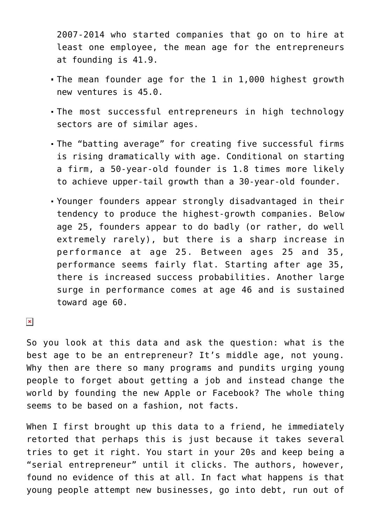2007-2014 who started companies that go on to hire at least one employee, the mean age for the entrepreneurs at founding is 41.9.

- The mean founder age for the 1 in 1,000 highest growth new ventures is 45.0.
- The most successful entrepreneurs in high technology sectors are of similar ages.
- The "batting average" for creating five successful firms is rising dramatically with age. Conditional on starting a firm, a 50-year-old founder is 1.8 times more likely to achieve upper-tail growth than a 30-year-old founder.
- Younger founders appear strongly disadvantaged in their tendency to produce the highest-growth companies. Below age 25, founders appear to do badly (or rather, do well extremely rarely), but there is a sharp increase in performance at age 25. Between ages 25 and 35, performance seems fairly flat. Starting after age 35, there is increased success probabilities. Another large surge in performance comes at age 46 and is sustained toward age 60.

 $\pmb{\times}$ 

So you look at this data and ask the question: what is the best age to be an entrepreneur? It's middle age, not young. Why then are there so many programs and pundits urging young people to forget about getting a job and instead change the world by founding the new Apple or Facebook? The whole thing seems to be based on a fashion, not facts.

When I first brought up this data to a friend, he immediately retorted that perhaps this is just because it takes several tries to get it right. You start in your 20s and keep being a "serial entrepreneur" until it clicks. The authors, however, found no evidence of this at all. In fact what happens is that young people attempt new businesses, go into debt, run out of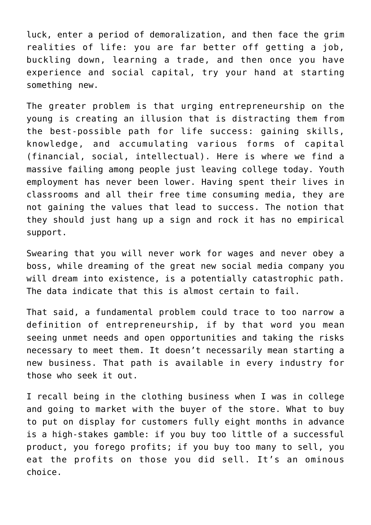luck, enter a period of demoralization, and then face the grim realities of life: you are far better off getting a job, buckling down, learning a trade, and then once you have experience and social capital, try your hand at starting something new.

The greater problem is that urging entrepreneurship on the young is creating an illusion that is distracting them from the best-possible path for life success: gaining skills, knowledge, and accumulating various forms of capital (financial, social, intellectual). Here is where we find a massive failing among people just leaving college today. Youth employment has never been lower. Having spent their lives in classrooms and all their free time consuming media, they are not gaining the values that lead to success. The notion that they should just hang up a sign and rock it has no empirical support.

Swearing that you will never work for wages and never obey a boss, while dreaming of the great new social media company you will dream into existence, is a potentially catastrophic path. The data indicate that this is almost certain to fail.

That said, a fundamental problem could trace to too narrow a definition of entrepreneurship, if by that word you mean seeing unmet needs and open opportunities and taking the risks necessary to meet them. It doesn't necessarily mean starting a new business. That path is available in every industry for those who seek it out.

I recall being in the clothing business when I was in college and going to market with the buyer of the store. What to buy to put on display for customers fully eight months in advance is a high-stakes gamble: if you buy too little of a successful product, you forego profits; if you buy too many to sell, you eat the profits on those you did sell. It's an ominous choice.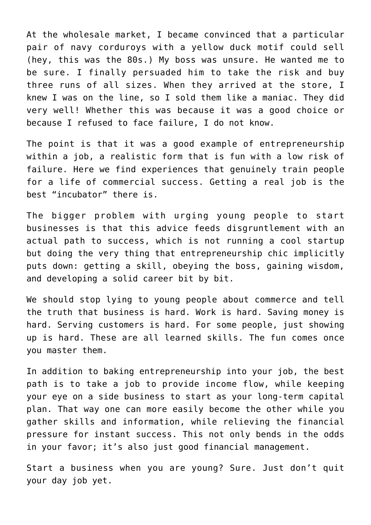At the wholesale market, I became convinced that a particular pair of navy corduroys with a yellow duck motif could sell (hey, this was the 80s.) My boss was unsure. He wanted me to be sure. I finally persuaded him to take the risk and buy three runs of all sizes. When they arrived at the store, I knew I was on the line, so I sold them like a maniac. They did very well! Whether this was because it was a good choice or because I refused to face failure, I do not know.

The point is that it was a good example of entrepreneurship within a job, a realistic form that is fun with a low risk of failure. Here we find experiences that genuinely train people for a life of commercial success. Getting a real job is the best "incubator" there is.

The bigger problem with urging young people to start businesses is that this advice feeds disgruntlement with an actual path to success, which is not running a cool startup but doing the very thing that entrepreneurship chic implicitly puts down: getting a skill, obeying the boss, gaining wisdom, and developing a solid career bit by bit.

We should stop lying to young people about commerce and tell the truth that business is hard. Work is hard. Saving money is hard. Serving customers is hard. For some people, just showing up is hard. These are all learned skills. The fun comes once you master them.

In addition to baking entrepreneurship into your job, the best path is to take a job to provide income flow, while keeping your eye on a side business to start as your long-term capital plan. That way one can more easily become the other while you gather skills and information, while relieving the financial pressure for instant success. This not only bends in the odds in your favor; it's also just good financial management.

Start a business when you are young? Sure. Just don't quit your day job yet.